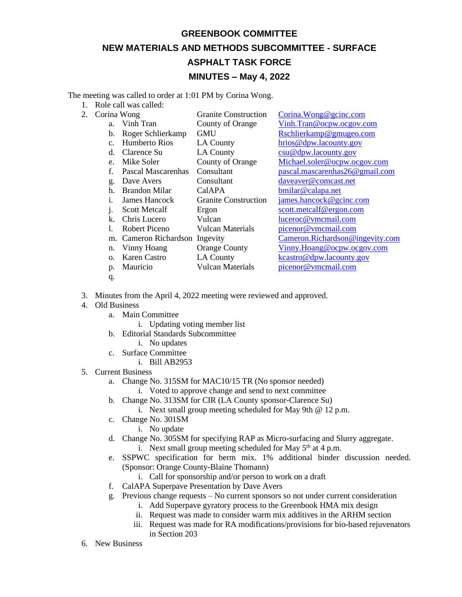## **GREENBOOK COMMITTEE NEW MATERIALS AND METHODS SUBCOMMITTEE - SURFACE ASPHALT TASK FORCE MINUTES – May 4, 2022**

The meeting was called to order at 1:01 PM by Corina Wong.

- 1. Role call was called:
- 2. Corina Wong Granite Construction Corina. Wong @gcinc.com a. Vinh Tran County of Orange [Vinh.Tran@ocpw.ocgov.com](mailto:Vinh.Tran@ocpw.ocgov.com) b. Roger Schlierkamp GMU [Rschlierkamp@gmugeo.com](mailto:Rschlierkamp@gmugeo.com) c. Humberto Rios LA County [hrios@dpw.lacounty.gov](mailto:hrios@dpw.lacounty.gov) d. Clarence Su LA County [csu@dpw.lacounty.gov](mailto:csu@dpw.lacounty.gov) e. Mike Soler County of Orange [Michael.soler@ocpw.ocgov.com](mailto:Michael.soler@ocpw.ocgov.com) f. Pascal Mascarenhas Consultant [pascal.mascarenhas26@gmail.com](mailto:pascal.mascarenhas26@gmail.com)  g. Dave Avers Consultant [daveaver@comcast.net](mailto:daveaver@comcast.net) h. Brandon Milar CalAPA [bmilar@calapa.net](mailto:bmilar@calapa.net) i. James Hancock Granite Construction [james.hancock@gcinc.com](mailto:james.hancock@gcinc.com) j. Scott Metcalf Ergon [scott.metcalf@ergon.com](mailto:scott.metcalf@ergon.com) k. Chris Lucero Vulcan [luceroc@vmcmail.com](mailto:luceroc@vmcmail.com) l. Robert Piceno Vulcan Materials [picenor@vmcmail.com](mailto:picenor@vmcmail.com) m. Cameron Richardson Ingevity [Cameron.Richardson@ingevity.com](mailto:Cameron.Richardson@ingevity.com) n. Vinny Hoang Orange County [Vinny.Hoang@ocpw.ocgov.com](mailto:Vinny.Hoang@ocpw.ocgov.com) o. Karen Castro LA County [kcastro@dpw.lacounty.gov](mailto:kcastro@dpw.lacounty.gov) p. Mauricio Vulcan Materials [picenor@vmcmail.com](mailto:picenor@vmcmail.com)
	- q.
- 3. Minutes from the April 4, 2022 meeting were reviewed and approved.
- 4. Old Business
	- a. Main Committee
		- i. Updating voting member list
	- b. Editorial Standards Subcommittee
		- i. No updates
	- c. Surface Committee
		- i. Bill AB2953
- 5. Current Business
	- a. Change No. 315SM for MAC10/15 TR (No sponsor needed)
		- i. Voted to approve change and send to next committee
	- b. Change No. 313SM for CIR (LA County sponsor-Clarence Su)
		- i. Next small group meeting scheduled for May 9th @ 12 p.m.
	- c. Change No. 301SM
		- i. No update
	- d. Change No. 305SM for specifying RAP as Micro-surfacing and Slurry aggregate. i. Next small group meeting scheduled for May  $5<sup>th</sup>$  at 4 p.m.
	- e. SSPWC specification for berm mix. 1% additional binder discussion needed. (Sponsor: Orange County-Blaine Thomann)
		- i. Call for sponsorship and/or person to work on a draft
	- f. CalAPA Superpave Presentation by Dave Avers
	- g. Previous change requests No current sponsors so not under current consideration
		- i. Add Superpave gyratory process to the Greenbook HMA mix design
		- ii. Request was made to consider warm mix additives in the ARHM section
		- iii. Request was made for RA modifications/provisions for bio-based rejuvenators in Section 203
- 6. New Business